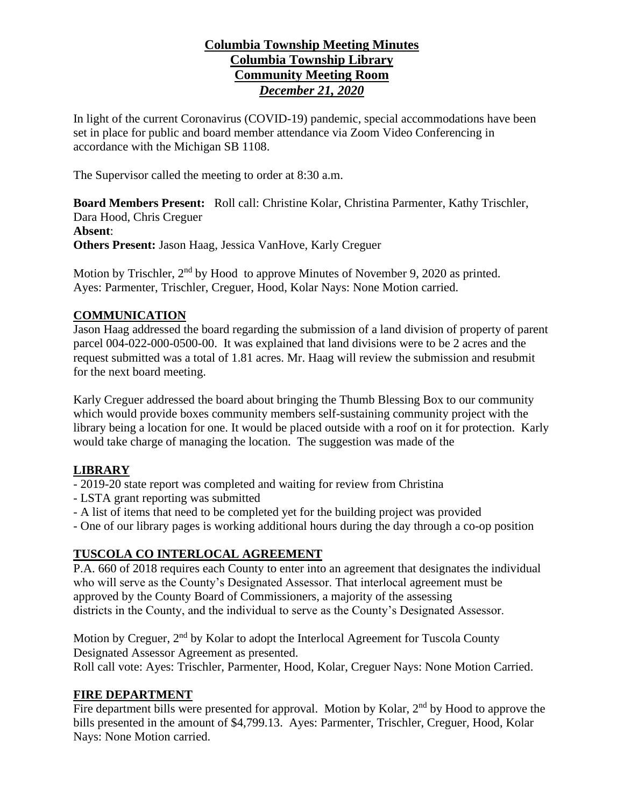## **Columbia Township Meeting Minutes Columbia Township Library Community Meeting Room** *December 21, 2020*

In light of the current Coronavirus (COVID-19) pandemic, special accommodations have been set in place for public and board member attendance via Zoom Video Conferencing in accordance with the Michigan SB 1108.

The Supervisor called the meeting to order at 8:30 a.m.

**Board Members Present:** Roll call: Christine Kolar, Christina Parmenter, Kathy Trischler, Dara Hood, Chris Creguer **Absent**: **Others Present:** Jason Haag, Jessica VanHove, Karly Creguer

Motion by Trischler, 2<sup>nd</sup> by Hood to approve Minutes of November 9, 2020 as printed. Ayes: Parmenter, Trischler, Creguer, Hood, Kolar Nays: None Motion carried.

### **COMMUNICATION**

Jason Haag addressed the board regarding the submission of a land division of property of parent parcel 004-022-000-0500-00. It was explained that land divisions were to be 2 acres and the request submitted was a total of 1.81 acres. Mr. Haag will review the submission and resubmit for the next board meeting.

Karly Creguer addressed the board about bringing the Thumb Blessing Box to our community which would provide boxes community members self-sustaining community project with the library being a location for one. It would be placed outside with a roof on it for protection. Karly would take charge of managing the location. The suggestion was made of the

#### **LIBRARY**

- 2019-20 state report was completed and waiting for review from Christina
- LSTA grant reporting was submitted
- A list of items that need to be completed yet for the building project was provided
- One of our library pages is working additional hours during the day through a co-op position

## **TUSCOLA CO INTERLOCAL AGREEMENT**

P.A. 660 of 2018 requires each County to enter into an agreement that designates the individual who will serve as the County's Designated Assessor. That interlocal agreement must be approved by the County Board of Commissioners, a majority of the assessing districts in the County, and the individual to serve as the County's Designated Assessor.

Motion by Creguer, 2<sup>nd</sup> by Kolar to adopt the Interlocal Agreement for Tuscola County Designated Assessor Agreement as presented. Roll call vote: Ayes: Trischler, Parmenter, Hood, Kolar, Creguer Nays: None Motion Carried.

#### **FIRE DEPARTMENT**

Fire department bills were presented for approval. Motion by Kolar,  $2<sup>nd</sup>$  by Hood to approve the bills presented in the amount of \$4,799.13. Ayes: Parmenter, Trischler, Creguer, Hood, Kolar Nays: None Motion carried.